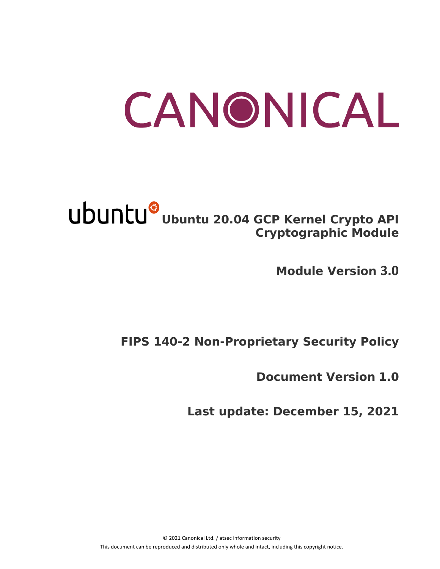# CANONICAL

# Ubuntu<sup>®</sup> Ubuntu 20.04 GCP Kernel Crypto API **Cryptographic Module**

**Module Version 3.0**

# **FIPS 140-2 Non-Proprietary Security Policy**

**Document Version 1.0**

**Last update: December 15, 2021**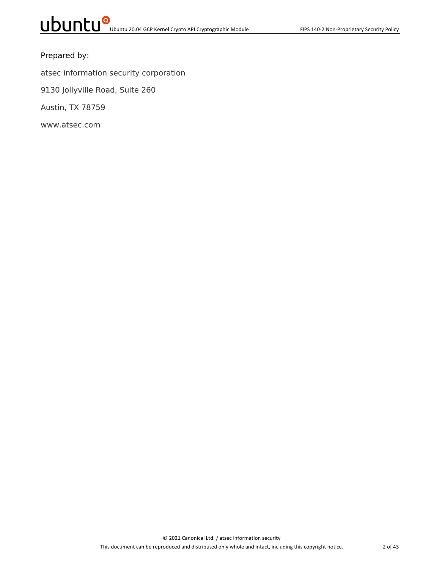#### Prepared by:

atsec information security corporation

9130 Jollyville Road, Suite 260

Austin, TX 78759

www.atsec.com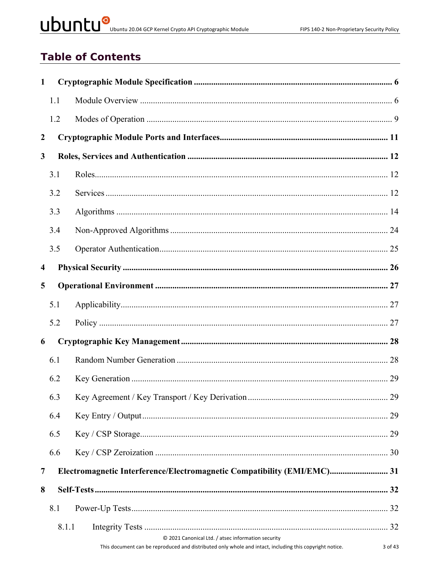# UDUNCU<sup>O</sup> Ubuntu 20.04 GCP Kernel Crypto API Cryptographic Module

# **Table of Contents**

| 1.1   |                                                                                                                                                                          |
|-------|--------------------------------------------------------------------------------------------------------------------------------------------------------------------------|
| 1.2   |                                                                                                                                                                          |
|       |                                                                                                                                                                          |
|       |                                                                                                                                                                          |
| 3.1   |                                                                                                                                                                          |
| 3.2   |                                                                                                                                                                          |
| 3.3   |                                                                                                                                                                          |
| 3.4   |                                                                                                                                                                          |
| 3.5   |                                                                                                                                                                          |
|       |                                                                                                                                                                          |
|       |                                                                                                                                                                          |
| 5.1   |                                                                                                                                                                          |
| 5.2   |                                                                                                                                                                          |
|       |                                                                                                                                                                          |
| 6.1   |                                                                                                                                                                          |
| 6.2   |                                                                                                                                                                          |
| 6.3   |                                                                                                                                                                          |
| 6.4   |                                                                                                                                                                          |
| 6.5   |                                                                                                                                                                          |
| 6.6   |                                                                                                                                                                          |
|       | Electromagnetic Interference/Electromagnetic Compatibility (EMI/EMC) 31                                                                                                  |
|       |                                                                                                                                                                          |
| 8.1   |                                                                                                                                                                          |
| 8.1.1 |                                                                                                                                                                          |
|       | © 2021 Canonical Ltd. / atsec information security<br>This document can be reproduced and distributed only whole and intact, including this copyright notice.<br>3 of 43 |
|       |                                                                                                                                                                          |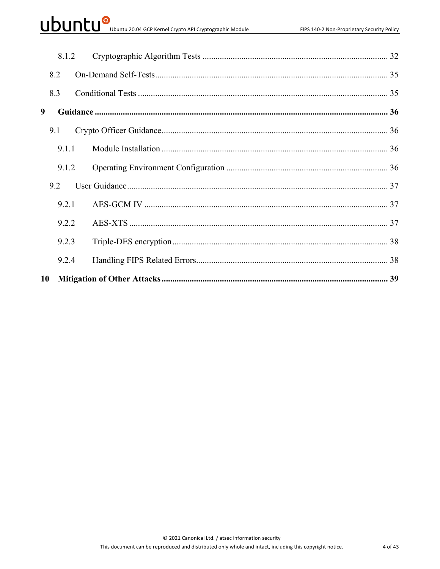# UDUNCU<sup>O</sup> Ubuntu 20.04 GCP Kernel Crypto API Cryptographic Module

|    | 8.1.2 |  |  |
|----|-------|--|--|
|    | 8.2   |  |  |
|    | 8.3   |  |  |
| 9  |       |  |  |
|    | 9.1   |  |  |
|    | 9.1.1 |  |  |
|    | 9.1.2 |  |  |
|    | 9.2   |  |  |
|    | 9.2.1 |  |  |
|    | 9.2.2 |  |  |
|    | 9.2.3 |  |  |
|    | 9.2.4 |  |  |
| 10 |       |  |  |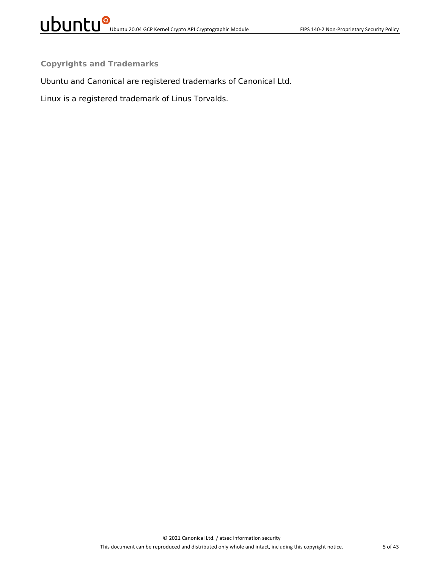**Copyrights and Trademarks**

Ubuntu and Canonical are registered trademarks of Canonical Ltd.

Linux is a registered trademark of Linus Torvalds.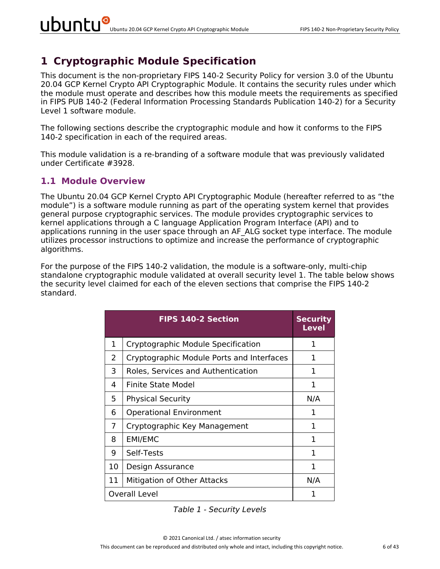# **1 Cryptographic Module Specification**

This document is the non-proprietary FIPS 140-2 Security Policy for version 3.0 of the Ubuntu 20.04 GCP Kernel Crypto API Cryptographic Module. It contains the security rules under which the module must operate and describes how this module meets the requirements as specified in FIPS PUB 140-2 (Federal Information Processing Standards Publication 140-2) for a Security Level 1 software module.

The following sections describe the cryptographic module and how it conforms to the FIPS 140-2 specification in each of the required areas.

This module validation is a re-branding of a software module that was previously validated under Certificate #3928.

#### **1.1 Module Overview**

The Ubuntu 20.04 GCP Kernel Crypto API Cryptographic Module (hereafter referred to as "the module") is a software module running as part of the operating system kernel that provides general purpose cryptographic services. The module provides cryptographic services to kernel applications through a C language Application Program Interface (API) and to applications running in the user space through an AF ALG socket type interface. The module utilizes processor instructions to optimize and increase the performance of cryptographic algorithms.

For the purpose of the FIPS 140-2 validation, the module is a software-only, multi-chip standalone cryptographic module validated at overall security level 1. The table below shows the security level claimed for each of the eleven sections that comprise the FIPS 140-2 standard.

|    | <b>FIPS 140-2 Section</b>                 | <b>Security</b><br>Level |
|----|-------------------------------------------|--------------------------|
| 1  | Cryptographic Module Specification        | 1                        |
| 2  | Cryptographic Module Ports and Interfaces | 1                        |
| 3  | Roles, Services and Authentication        | 1                        |
| 4  | Finite State Model                        | 1                        |
| 5  | <b>Physical Security</b>                  | N/A                      |
| 6  | <b>Operational Environment</b>            | 1                        |
| 7  | Cryptographic Key Management              | 1                        |
| 8  | <b>EMI/EMC</b>                            | 1                        |
| 9  | Self-Tests                                | 1                        |
| 10 | Design Assurance                          | 1                        |
| 11 | Mitigation of Other Attacks               | N/A                      |
|    | <b>Overall Level</b>                      | 1                        |

*Table 1 - Security Levels*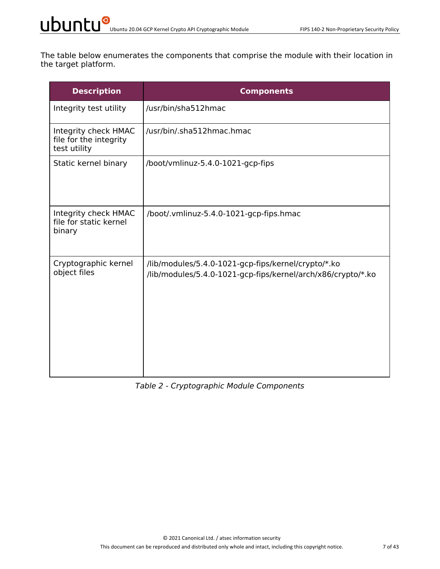The table below enumerates the components that comprise the module with their location in the target platform.

| <b>Description</b>                                             | <b>Components</b>                                                                                                   |
|----------------------------------------------------------------|---------------------------------------------------------------------------------------------------------------------|
| Integrity test utility                                         | /usr/bin/sha512hmac                                                                                                 |
| Integrity check HMAC<br>file for the integrity<br>test utility | /usr/bin/.sha512hmac.hmac                                                                                           |
| Static kernel binary                                           | /boot/vmlinuz-5.4.0-1021-gcp-fips                                                                                   |
| Integrity check HMAC<br>file for static kernel<br>binary       | /boot/.vmlinuz-5.4.0-1021-gcp-fips.hmac                                                                             |
| Cryptographic kernel<br>object files                           | /lib/modules/5.4.0-1021-gcp-fips/kernel/crypto/*.ko<br>/lib/modules/5.4.0-1021-gcp-fips/kernel/arch/x86/crypto/*.ko |

#### *Table 2 - Cryptographic Module Components*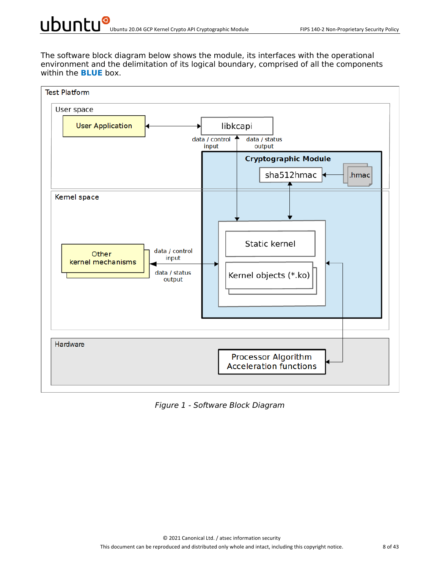The software block diagram below shows the module, its interfaces with the operational environment and the delimitation of its logical boundary, comprised of all the components within the **BLUE** box.



*Figure 1 - Software Block Diagram*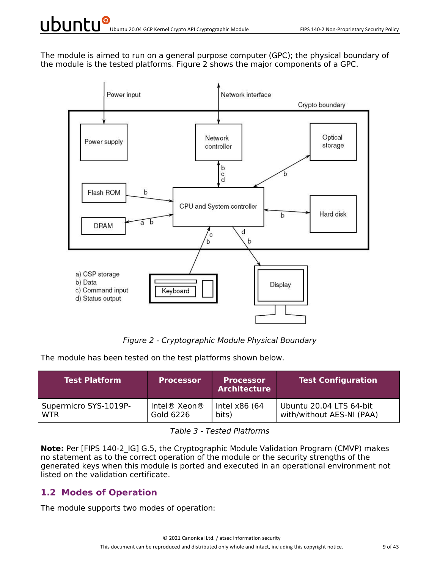The module is aimed to run on a general purpose computer (GPC); the physical boundary of the module is the tested platforms. Figure 2 shows the major components of a GPC.



*Figure 2 - Cryptographic Module Physical Boundary*

The module has been tested on the test platforms shown below.

| <b>Test Platform</b>  | <b>Processor</b> | <b>Processor</b><br><b>Architecture</b> | <b>Test Configuration</b> |
|-----------------------|------------------|-----------------------------------------|---------------------------|
| Supermicro SYS-1019P- | Intel® Xeon®     | Intel x86 (64                           | Ubuntu 20.04 LTS 64-bit   |
| <b>WTR</b>            | Gold 6226        | bits)                                   | with/without AES-NI (PAA) |

*Table 3 - Tested Platforms*

**Note:** Per [FIPS 140-2 IG] G.5, the Cryptographic Module Validation Program (CMVP) makes no statement as to the correct operation of the module or the security strengths of the generated keys when this module is ported and executed in an operational environment not listed on the validation certificate.

#### **1.2 Modes of Operation**

The module supports two modes of operation: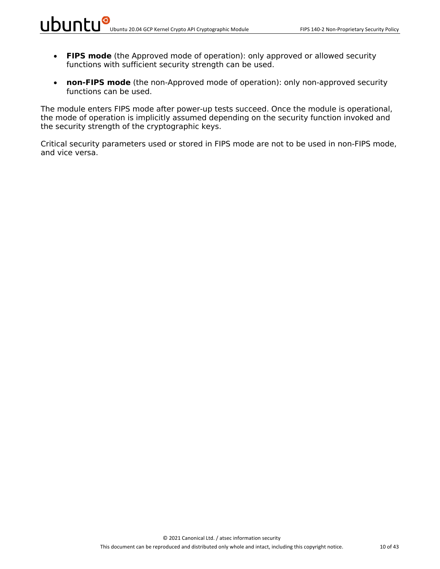- **FIPS mode** (the Approved mode of operation): only approved or allowed security functions with sufficient security strength can be used.
- **non-FIPS mode** (the non-Approved mode of operation): only non-approved security functions can be used.

The module enters FIPS mode after power-up tests succeed. Once the module is operational, the mode of operation is implicitly assumed depending on the security function invoked and the security strength of the cryptographic keys.

Critical security parameters used or stored in FIPS mode are not to be used in non-FIPS mode, and vice versa.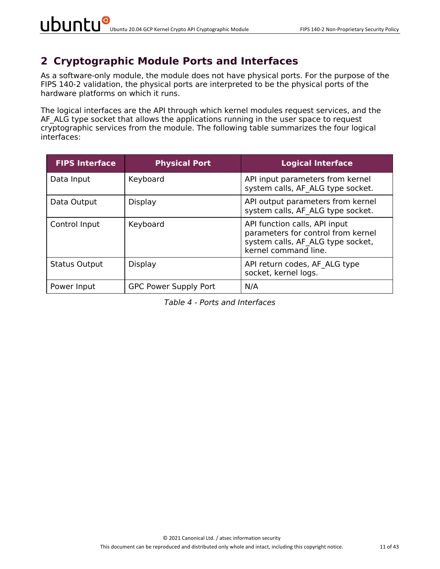### **2 Cryptographic Module Ports and Interfaces**

As a software-only module, the module does not have physical ports. For the purpose of the FIPS 140-2 validation, the physical ports are interpreted to be the physical ports of the hardware platforms on which it runs.

The logical interfaces are the API through which kernel modules request services, and the AF ALG type socket that allows the applications running in the user space to request cryptographic services from the module. The following table summarizes the four logical interfaces:

| <b>FIPS Interface</b> | <b>Physical Port</b>         | <b>Logical Interface</b>                                                                                                         |
|-----------------------|------------------------------|----------------------------------------------------------------------------------------------------------------------------------|
| Data Input            | Keyboard                     | API input parameters from kernel<br>system calls, AF ALG type socket.                                                            |
| Data Output           | Display                      | API output parameters from kernel<br>system calls, AF ALG type socket.                                                           |
| Control Input         | Keyboard                     | API function calls, API input<br>parameters for control from kernel<br>system calls, AF ALG type socket,<br>kernel command line. |
| <b>Status Output</b>  | Display                      | API return codes, AF ALG type<br>socket, kernel logs.                                                                            |
| Power Input           | <b>GPC Power Supply Port</b> | N/A                                                                                                                              |

*Table 4 - Ports and Interfaces*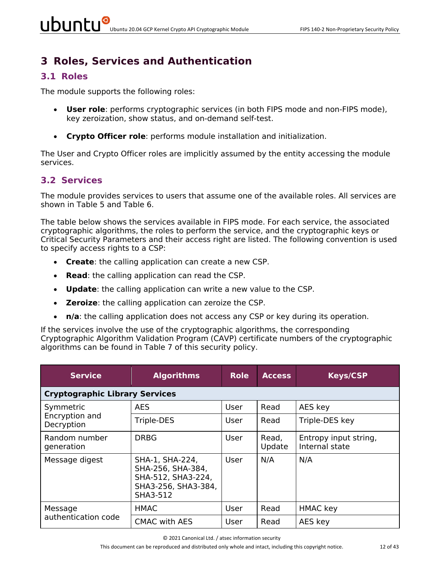# **3 Roles, Services and Authentication**

#### **3.1 Roles**

The module supports the following roles:

- **User role**: performs cryptographic services (in both FIPS mode and non-FIPS mode), key zeroization, show status, and on-demand self-test.
- **Crypto Officer role**: performs module installation and initialization.

The User and Crypto Officer roles are implicitly assumed by the entity accessing the module services.

#### **3.2 Services**

The module provides services to users that assume one of the available roles. All services are shown in Table 5 and Table 6.

The table below shows the services available in FIPS mode. For each service, the associated cryptographic algorithms, the roles to perform the service, and the cryptographic keys or Critical Security Parameters and their access right are listed. The following convention is used to specify access rights to a CSP:

- **Create**: the calling application can create a new CSP.
- **Read**: the calling application can read the CSP.
- **Update**: the calling application can write a new value to the CSP.
- **Zeroize**: the calling application can zeroize the CSP.
- **n/a**: the calling application does not access any CSP or key during its operation.

If the services involve the use of the cryptographic algorithms, the corresponding Cryptographic Algorithm Validation Program (CAVP) certificate numbers of the cryptographic algorithms can be found in Table 7 of this security policy.

| <b>Service</b>                        | <b>Algorithms</b>                                                                             | <b>Role</b> | <b>Access</b>   | <b>Keys/CSP</b>                         |  |  |  |  |
|---------------------------------------|-----------------------------------------------------------------------------------------------|-------------|-----------------|-----------------------------------------|--|--|--|--|
| <b>Cryptographic Library Services</b> |                                                                                               |             |                 |                                         |  |  |  |  |
| Symmetric                             | <b>AES</b>                                                                                    | User        | Read            | AES key                                 |  |  |  |  |
| Encryption and<br>Decryption          | Triple-DES                                                                                    | User        | Read            | Triple-DES key                          |  |  |  |  |
| Random number<br>generation           | <b>DRBG</b>                                                                                   | User        | Read,<br>Update | Entropy input string,<br>Internal state |  |  |  |  |
| Message digest                        | SHA-1, SHA-224,<br>SHA-256, SHA-384,<br>SHA-512, SHA3-224,<br>SHA3-256, SHA3-384,<br>SHA3-512 | User        | N/A             | N/A                                     |  |  |  |  |
| Message                               | HMAC                                                                                          | User        | Read            | <b>HMAC</b> key                         |  |  |  |  |
| authentication code                   | <b>CMAC with AES</b>                                                                          | User        | Read            | AES key                                 |  |  |  |  |

© 2021 Canonical Ltd. / atsec information security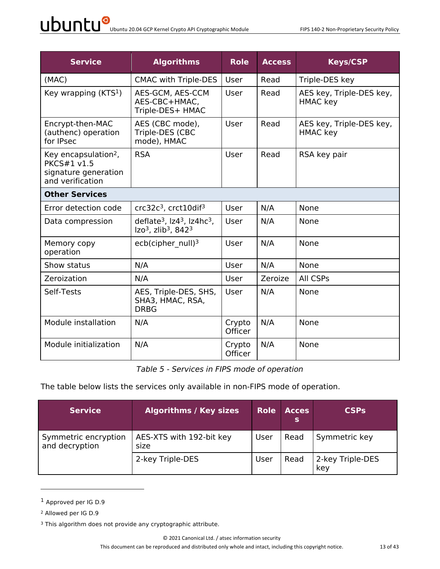| <b>Service</b>                                                                                     | <b>Algorithms</b>                                                                                     | <b>Role</b>              | <b>Access</b> | <b>Keys/CSP</b>                             |  |  |  |  |
|----------------------------------------------------------------------------------------------------|-------------------------------------------------------------------------------------------------------|--------------------------|---------------|---------------------------------------------|--|--|--|--|
| (MAC)                                                                                              | <b>CMAC with Triple-DES</b>                                                                           | User                     | Read          | Triple-DES key                              |  |  |  |  |
| Key wrapping $(KTS1)$                                                                              | AES-GCM, AES-CCM<br>AES-CBC+HMAC,<br>Triple-DES+ HMAC                                                 | User                     | Read          | AES key, Triple-DES key,<br><b>HMAC</b> key |  |  |  |  |
| Encrypt-then-MAC<br>(authenc) operation<br>for IPsec                                               | AES (CBC mode),<br>Triple-DES (CBC<br>mode), HMAC                                                     | User                     | Read          | AES key, Triple-DES key,<br><b>HMAC</b> key |  |  |  |  |
| Key encapsulation <sup>2</sup> ,<br><b>PKCS#1 v1.5</b><br>signature generation<br>and verification | <b>RSA</b>                                                                                            | User                     | Read          | RSA key pair                                |  |  |  |  |
| <b>Other Services</b>                                                                              |                                                                                                       |                          |               |                                             |  |  |  |  |
| Error detection code                                                                               | $crc32c3$ , $crc10dif3$                                                                               | <b>User</b>              | N/A           | None                                        |  |  |  |  |
| Data compression                                                                                   | deflate <sup>3</sup> , $Iz43$ , $Iz4hc3$ ,<br>Izo <sup>3</sup> , zlib <sup>3</sup> , 842 <sup>3</sup> | User                     | N/A           | None                                        |  |  |  |  |
| Memory copy<br>operation                                                                           | ecb(cipher $null)3$                                                                                   | User                     | N/A           | None                                        |  |  |  |  |
| Show status                                                                                        | N/A                                                                                                   | User                     | N/A           | None                                        |  |  |  |  |
| Zeroization                                                                                        | N/A                                                                                                   | <b>User</b>              | Zeroize       | All CSPs                                    |  |  |  |  |
| Self-Tests                                                                                         | AES, Triple-DES, SHS,<br>SHA3, HMAC, RSA,<br><b>DRBG</b>                                              | User                     | N/A           | None                                        |  |  |  |  |
| Module installation                                                                                | N/A                                                                                                   | Crypto<br><b>Officer</b> | N/A           | None                                        |  |  |  |  |
| Module initialization                                                                              | N/A                                                                                                   | Crypto<br><b>Officer</b> | N/A           | None                                        |  |  |  |  |

*Table 5 - Services in FIPS mode of operation*

The table below lists the services only available in non-FIPS mode of operation.

| <b>Service</b>                         | Algorithms / Key sizes           | <b>Role</b> | <b>Acces</b><br>s | <b>CSPs</b>             |
|----------------------------------------|----------------------------------|-------------|-------------------|-------------------------|
| Symmetric encryption<br>and decryption | AES-XTS with 192-bit key<br>size | User        | Read              | Symmetric key           |
|                                        | 2-key Triple-DES                 | User        | Read              | 2-key Triple-DES<br>key |

<sup>1</sup> Approved per IG D.9

<sup>2</sup> Allowed per IG D.9

<sup>&</sup>lt;sup>3</sup> This algorithm does not provide any cryptographic attribute.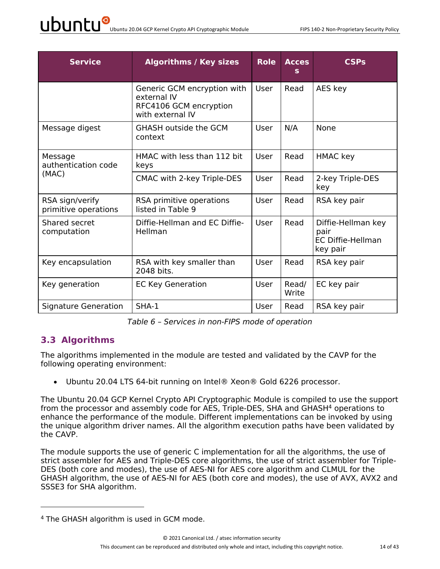| <b>Service</b>                          | <b>Algorithms / Key sizes</b>                                                            | <b>Role</b> | <b>Acces</b><br>s | CSPs                                                               |
|-----------------------------------------|------------------------------------------------------------------------------------------|-------------|-------------------|--------------------------------------------------------------------|
|                                         | Generic GCM encryption with<br>external IV<br>RFC4106 GCM encryption<br>with external IV | User        | Read              | AES key                                                            |
| Message digest                          | GHASH outside the GCM<br>context                                                         | User        | N/A               | None                                                               |
| Message<br>authentication code          | HMAC with less than 112 bit<br>keys                                                      | User        | Read              | <b>HMAC</b> key                                                    |
| (MAC)                                   | CMAC with 2-key Triple-DES                                                               | User        | Read              | 2-key Triple-DES<br>key                                            |
| RSA sign/verify<br>primitive operations | RSA primitive operations<br>listed in Table 9                                            | User        | Read              | RSA key pair                                                       |
| Shared secret<br>computation            | Diffie-Hellman and EC Diffie-<br>Hellman                                                 | User        | Read              | Diffie-Hellman key<br>pair<br><b>EC Diffie-Hellman</b><br>key pair |
| Key encapsulation                       | RSA with key smaller than<br>2048 bits.                                                  | User        | Read              | RSA key pair                                                       |
| Key generation                          | <b>EC Key Generation</b>                                                                 | User        | Read/<br>Write    | EC key pair                                                        |
| <b>Signature Generation</b>             | $SHA-1$                                                                                  | User        | Read              | RSA key pair                                                       |

*Table 6 – Services in non-FIPS mode of operation*

#### **3.3 Algorithms**

The algorithms implemented in the module are tested and validated by the CAVP for the following operating environment:

• Ubuntu 20.04 LTS 64-bit running on Intel® Xeon® Gold 6226 processor.

The Ubuntu 20.04 GCP Kernel Crypto API Cryptographic Module is compiled to use the support from the processor and assembly code for AES, Triple-DES, SHA and GHASH<sup>4</sup> operations to enhance the performance of the module. Different implementations can be invoked by using the unique algorithm driver names. All the algorithm execution paths have been validated by the CAVP.

The module supports the use of generic C implementation for all the algorithms, the use of strict assembler for AES and Triple-DES core algorithms, the use of strict assembler for Triple-DES (both core and modes), the use of AES-NI for AES core algorithm and CLMUL for the GHASH algorithm, the use of AES-NI for AES (both core and modes), the use of AVX, AVX2 and SSSE3 for SHA algorithm.

<sup>4</sup> The GHASH algorithm is used in GCM mode.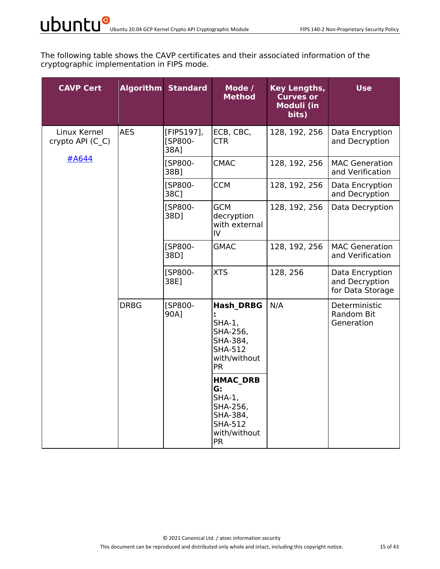The following table shows the CAVP certificates and their associated information of the cryptographic implementation in FIPS mode.

| <b>CAVP Cert</b>                 |             | <b>Algorithm Standard</b>     | Mode /<br><b>Method</b>                                                                                       | Key Lengths,<br><b>Curves or</b><br><b>Moduli (in</b><br>bits) | <b>Use</b>                                            |
|----------------------------------|-------------|-------------------------------|---------------------------------------------------------------------------------------------------------------|----------------------------------------------------------------|-------------------------------------------------------|
| Linux Kernel<br>crypto API (C C) | <b>AES</b>  | [FIPS197],<br>[SP800-<br>38A] | ECB, CBC,<br><b>CTR</b>                                                                                       | 128, 192, 256                                                  | Data Encryption<br>and Decryption                     |
| #A644                            |             | [SP800-<br>38B]               | <b>CMAC</b>                                                                                                   | 128, 192, 256                                                  | <b>MAC Generation</b><br>and Verification             |
|                                  |             | [SP800-<br>38C]               | <b>CCM</b>                                                                                                    | 128, 192, 256                                                  | Data Encryption<br>and Decryption                     |
|                                  |             | [SP800-<br>38D]               | <b>GCM</b><br>decryption<br>with external<br>IV                                                               | 128, 192, 256                                                  | Data Decryption                                       |
|                                  |             | [SP800-<br>38D]               | <b>GMAC</b>                                                                                                   | 128, 192, 256                                                  | <b>MAC Generation</b><br>and Verification             |
|                                  | <b>DRBG</b> | [SP800-<br>38E]               | <b>XTS</b>                                                                                                    | 128, 256                                                       | Data Encryption<br>and Decryption<br>for Data Storage |
|                                  |             | [SP800-<br>90A]               | <b>Hash DRBG</b><br>SHA-1,<br>SHA-256,<br>SHA-384,<br><b>SHA-512</b><br>with/without<br><b>PR</b>             | N/A                                                            | Deterministic<br>Random Bit<br>Generation             |
|                                  |             |                               | <b>HMAC DRB</b><br>G:<br><b>SHA-1,</b><br>SHA-256,<br>SHA-384,<br><b>SHA-512</b><br>with/without<br><b>PR</b> |                                                                |                                                       |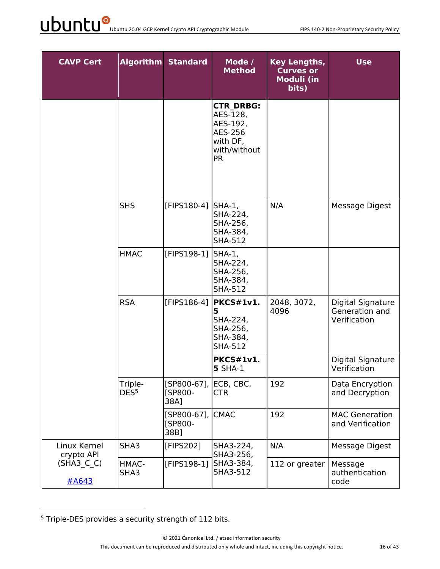| <b>CAVP Cert</b>           |                             | <b>Algorithm Standard</b>         | Mode /<br><b>Method</b>                                                                      | Key Lengths,<br><b>Curves or</b><br><b>Moduli (in</b><br>bits) | <b>Use</b>                                          |
|----------------------------|-----------------------------|-----------------------------------|----------------------------------------------------------------------------------------------|----------------------------------------------------------------|-----------------------------------------------------|
|                            |                             |                                   | <b>CTR DRBG:</b><br>AES-128,<br>AES-192,<br>AES-256<br>with DF,<br>with/without<br><b>PR</b> |                                                                |                                                     |
|                            | <b>SHS</b>                  | [FIPS180-4]                       | SHA-1,<br>SHA-224,<br>SHA-256,<br>SHA-384,<br><b>SHA-512</b>                                 | N/A                                                            | Message Digest                                      |
|                            | <b>HMAC</b>                 | [FIPS198-1]                       | SHA-1,<br>SHA-224,<br>SHA-256,<br>SHA-384,<br><b>SHA-512</b>                                 |                                                                |                                                     |
|                            | <b>RSA</b>                  | [FIPS186-4]                       | PKCS#1v1.<br>5<br>SHA-224,<br>SHA-256,<br>SHA-384,<br><b>SHA-512</b>                         | 2048, 3072,<br>4096                                            | Digital Signature<br>Generation and<br>Verification |
|                            |                             |                                   | PKCS#1v1.<br><b>5 SHA-1</b>                                                                  |                                                                | Digital Signature<br>Verification                   |
|                            | Triple-<br>DES <sup>5</sup> | $[SP800-67]$ ,<br>[SP800-<br>38A] | ECB, CBC,<br><b>CTR</b>                                                                      | 192                                                            | Data Encryption<br>and Decryption                   |
|                            |                             | [SP800-67],<br>[SP800-<br>38B]    | <b>CMAC</b>                                                                                  | 192                                                            | <b>MAC Generation</b><br>and Verification           |
| Linux Kernel<br>crypto API | SHA3                        | [FIPS202]                         | SHA3-224,<br>SHA3-256,                                                                       | N/A                                                            | Message Digest                                      |
| (SHA3 C C)<br>#A643        | HMAC-<br>SHA3               | [FIPS198-1]                       | SHA3-384,<br>SHA3-512                                                                        | 112 or greater                                                 | Message<br>authentication<br>code                   |

<sup>5</sup> Triple-DES provides a security strength of 112 bits.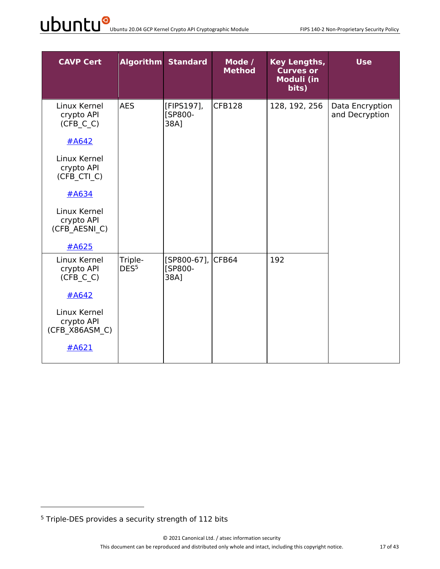# UDUNCU<sup>O</sup> Ubuntu 20.04 GCP Kernel Crypto API Cryptographic Module FIPS 140-2 Non-Proprietary Security Policy

| <b>CAVP Cert</b>                                                                                                                                               |                             | <b>Algorithm Standard</b>                   | Mode /<br><b>Method</b> | <b>Key Lengths,</b><br><b>Curves or</b><br>Moduli (in<br>bits) | <b>Use</b>                        |
|----------------------------------------------------------------------------------------------------------------------------------------------------------------|-----------------------------|---------------------------------------------|-------------------------|----------------------------------------------------------------|-----------------------------------|
| Linux Kernel<br>crypto API<br>(CFB C C)<br>#A642<br>Linux Kernel<br>crypto API<br>(CFB CTI C)<br>#A634<br>Linux Kernel<br>crypto API<br>(CFB AESNI C)<br>#A625 | <b>AES</b>                  | [FIPS197],<br>[SP800-<br>38A]               | <b>CFB128</b>           | 128, 192, 256                                                  | Data Encryption<br>and Decryption |
| Linux Kernel<br>crypto API<br>(CFB C C)<br>#A642<br>Linux Kernel<br>crypto API<br>(CFB X86ASM C)<br>#A621                                                      | Triple-<br>DES <sup>5</sup> | [SP800-67], CFB64<br><b>[SP800-</b><br>38A] |                         | 192                                                            |                                   |

<sup>5</sup> Triple-DES provides a security strength of 112 bits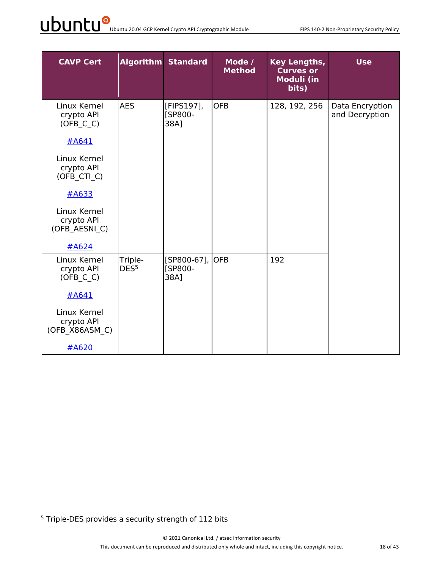# UDUNCU<sup>O</sup> Ubuntu 20.04 GCP Kernel Crypto API Cryptographic Module FIPS 140-2 Non-Proprietary Security Policy

| <b>CAVP Cert</b>                             |                             | <b>Algorithm Standard</b>             | Mode /<br><b>Method</b> | <b>Key Lengths,</b><br><b>Curves or</b><br><b>Moduli (in</b><br>bits) | <b>Use</b>                        |
|----------------------------------------------|-----------------------------|---------------------------------------|-------------------------|-----------------------------------------------------------------------|-----------------------------------|
| Linux Kernel<br>crypto API<br>$(OFB_C_C)$    | <b>AES</b>                  | [FIPS197],<br>[SP800-<br>38A]         | <b>OFB</b>              | 128, 192, 256                                                         | Data Encryption<br>and Decryption |
| #A641                                        |                             |                                       |                         |                                                                       |                                   |
| Linux Kernel<br>crypto API<br>(OFB_CTI_C)    |                             |                                       |                         |                                                                       |                                   |
| $\#A633$                                     |                             |                                       |                         |                                                                       |                                   |
| Linux Kernel<br>crypto API<br>(OFB AESNI C)  |                             |                                       |                         |                                                                       |                                   |
| #A624                                        |                             |                                       |                         |                                                                       |                                   |
| Linux Kernel<br>crypto API<br>(OFB C C)      | Triple-<br>DES <sup>5</sup> | [SP800-67],<br><b>[SP800-</b><br>38A] | <b>OFB</b>              | 192                                                                   |                                   |
| #A641                                        |                             |                                       |                         |                                                                       |                                   |
| Linux Kernel<br>crypto API<br>(OFB X86ASM C) |                             |                                       |                         |                                                                       |                                   |
| #A620                                        |                             |                                       |                         |                                                                       |                                   |

<sup>5</sup> Triple-DES provides a security strength of 112 bits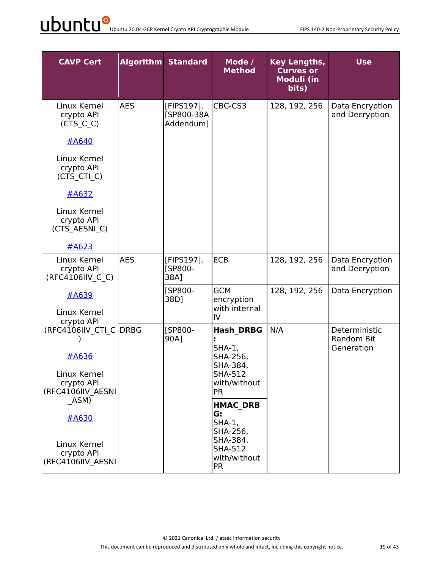| <b>CAVP Cert</b>                                                                   |            | <b>Algorithm Standard</b>             | Mode /<br><b>Method</b>                                                                           | Key Lengths,<br><b>Curves or</b><br><b>Moduli (in</b><br>bits) | <b>Use</b>                                |
|------------------------------------------------------------------------------------|------------|---------------------------------------|---------------------------------------------------------------------------------------------------|----------------------------------------------------------------|-------------------------------------------|
| Linux Kernel<br>crypto API<br>(CTS C C)                                            | <b>AES</b> | [FIPS197],<br>[SP800-38A<br>Addendum] | CBC-CS3                                                                                           | 128, 192, 256                                                  | Data Encryption<br>and Decryption         |
| #A640<br>Linux Kernel<br>crypto API<br>(CTS_CTI_C)                                 |            |                                       |                                                                                                   |                                                                |                                           |
| $\#A632$<br>Linux Kernel<br>crypto API<br>(CTS AESNI C)                            |            |                                       |                                                                                                   |                                                                |                                           |
| #A623                                                                              |            |                                       |                                                                                                   |                                                                |                                           |
| Linux Kernel<br>crypto API<br>(RFC4106IIV C C)                                     | <b>AES</b> | [FIPS197],<br>[SP800-<br>38A]         | <b>ECB</b>                                                                                        | 128, 192, 256                                                  | Data Encryption<br>and Decryption         |
| #A639<br>Linux Kernel<br>crypto API                                                |            | [SP800-<br>38D]                       | <b>GCM</b><br>encryption<br>with internal<br>IV                                                   | 128, 192, 256                                                  | Data Encryption                           |
| (RFC4106IIV_CTI_C DRBG<br>#A636<br>Linux Kernel<br>crypto API<br>(RFC4106IIV AESNI |            | [SP800-<br>90A]                       | <b>Hash DRBG</b><br><b>SHA-1,</b><br>SHA-256,<br>SHA-384,<br>SHA-512<br>with/without<br><b>PR</b> | N/A                                                            | Deterministic<br>Random Bit<br>Generation |
| ASM)<br>#A630                                                                      |            |                                       | <b>HMAC DRB</b><br>G:<br>$SHA-1,$<br>SHA-256,                                                     |                                                                |                                           |
| Linux Kernel<br>crypto API<br>(RFC4106IIV AESNI                                    |            |                                       | SHA-384,<br><b>SHA-512</b><br>with/without<br><b>PR</b>                                           |                                                                |                                           |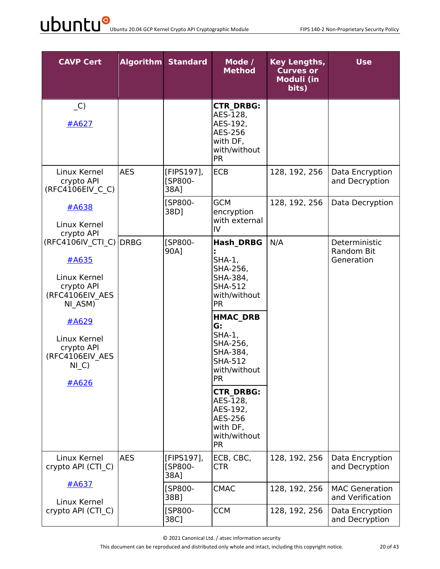| <b>CAVP Cert</b>                                                                                                                                                         |            | <b>Algorithm Standard</b>     | Mode /<br><b>Method</b>                                                                                                                                                                                                                                                                                               | <b>Key Lengths,</b><br><b>Curves or</b><br><b>Moduli (in</b><br>bits) | <b>Use</b>                                |
|--------------------------------------------------------------------------------------------------------------------------------------------------------------------------|------------|-------------------------------|-----------------------------------------------------------------------------------------------------------------------------------------------------------------------------------------------------------------------------------------------------------------------------------------------------------------------|-----------------------------------------------------------------------|-------------------------------------------|
| $\overline{\phantom{a}}$ C)<br><u>#A627</u>                                                                                                                              |            |                               | <b>CTR DRBG:</b><br>AES-128,<br>AES-192,<br>AES-256<br>with DF,<br>with/without<br><b>PR</b>                                                                                                                                                                                                                          |                                                                       |                                           |
| Linux Kernel<br>crypto API<br>(RFC4106EIV C C)                                                                                                                           | <b>AES</b> | [FIPS197],<br>[SP800-<br>38A] | <b>ECB</b>                                                                                                                                                                                                                                                                                                            | 128, 192, 256                                                         | Data Encryption<br>and Decryption         |
| <b>#A638</b><br>Linux Kernel<br>crypto API                                                                                                                               |            | [SP800-<br>38D]               | <b>GCM</b><br>encryption<br>with external<br>IV                                                                                                                                                                                                                                                                       | 128, 192, 256                                                         | Data Decryption                           |
| (RFC4106IV CTI C) DRBG<br>#A635<br>Linux Kernel<br>crypto API<br>(RFC4106EIV AES<br>NI ASM)<br>#A629<br>Linux Kernel<br>crypto API<br>(RFC4106EIV AES<br>$NI_C$<br>#A626 |            | [SP800-<br>90A]               | <b>Hash DRBG</b><br>$SHA-1$ ,<br>SHA-256,<br>SHA-384,<br><b>SHA-512</b><br>with/without<br><b>PR</b><br><b>HMAC DRB</b><br>G:<br><b>SHA-1,</b><br>SHA-256,<br>SHA-384,<br><b>SHA-512</b><br>with/without<br><b>PR</b><br><b>CTR DRBG:</b><br>AES-128,<br>AES-192,<br>AES-256<br>with DF,<br>with/without<br><b>PR</b> | N/A                                                                   | Deterministic<br>Random Bit<br>Generation |
| Linux Kernel<br>crypto API (CTI C)                                                                                                                                       | <b>AES</b> | [FIPS197],<br>[SP800-<br>38A] | ECB, CBC,<br>CTR                                                                                                                                                                                                                                                                                                      | 128, 192, 256                                                         | Data Encryption<br>and Decryption         |
| #A637<br>Linux Kernel                                                                                                                                                    |            | [SP800-<br>38B]               | <b>CMAC</b>                                                                                                                                                                                                                                                                                                           | 128, 192, 256                                                         | <b>MAC Generation</b><br>and Verification |
| crypto API (CTI_C)                                                                                                                                                       |            | [SP800-<br>38C]               | <b>CCM</b>                                                                                                                                                                                                                                                                                                            | 128, 192, 256                                                         | Data Encryption<br>and Decryption         |

© 2021 Canonical Ltd. / atsec information security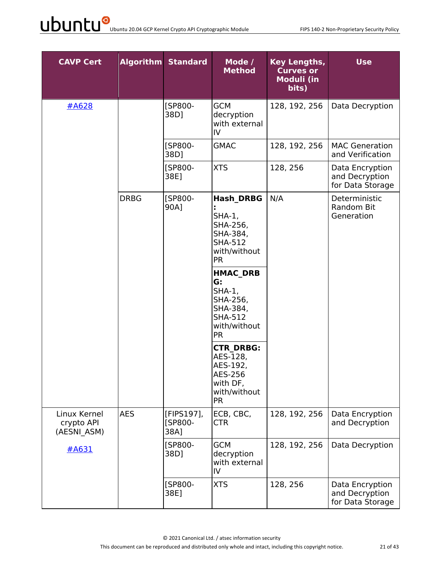| <b>CAVP Cert</b>                          |             | <b>Algorithm Standard</b>     | Mode /<br><b>Method</b>                                                                                  | Key Lengths,<br><b>Curves or</b><br>Moduli (in<br>bits) | <b>Use</b>                                            |
|-------------------------------------------|-------------|-------------------------------|----------------------------------------------------------------------------------------------------------|---------------------------------------------------------|-------------------------------------------------------|
| #A628                                     |             | [SP800-<br>38D]               | <b>GCM</b><br>decryption<br>with external<br>IV                                                          | 128, 192, 256                                           | Data Decryption                                       |
|                                           |             | [SP800-<br>38D]               | <b>GMAC</b>                                                                                              | 128, 192, 256                                           | <b>MAC Generation</b><br>and Verification             |
|                                           |             | [SP800-<br>38E]               | <b>XTS</b>                                                                                               | 128, 256                                                | Data Encryption<br>and Decryption<br>for Data Storage |
|                                           | <b>DRBG</b> | [SP800-<br>90A]               | <b>Hash DRBG</b><br>$SHA-1$ ,<br>SHA-256,<br>SHA-384,<br><b>SHA-512</b><br>with/without<br><b>PR</b>     | N/A                                                     | Deterministic<br>Random Bit<br>Generation             |
|                                           |             |                               | <b>HMAC DRB</b><br>G:<br>$SHA-1,$<br>SHA-256,<br>SHA-384,<br><b>SHA-512</b><br>with/without<br><b>PR</b> |                                                         |                                                       |
|                                           |             |                               | <b>CTR DRBG:</b><br>AES-128,<br>AES-192,<br>AES-256<br>with DF,<br>with/without<br><b>PR</b>             |                                                         |                                                       |
| Linux Kernel<br>crypto API<br>(AESNI ASM) | <b>AES</b>  | [FIPS197],<br>[SP800-<br>38A] | ECB, CBC,<br><b>CTR</b>                                                                                  | 128, 192, 256                                           | Data Encryption<br>and Decryption                     |
| #A631                                     |             | [SP800-<br>38D]               | <b>GCM</b><br>decryption<br>with external<br>IV                                                          | 128, 192, 256                                           | Data Decryption                                       |
|                                           |             | [SP800-<br>38E]               | <b>XTS</b>                                                                                               | 128, 256                                                | Data Encryption<br>and Decryption<br>for Data Storage |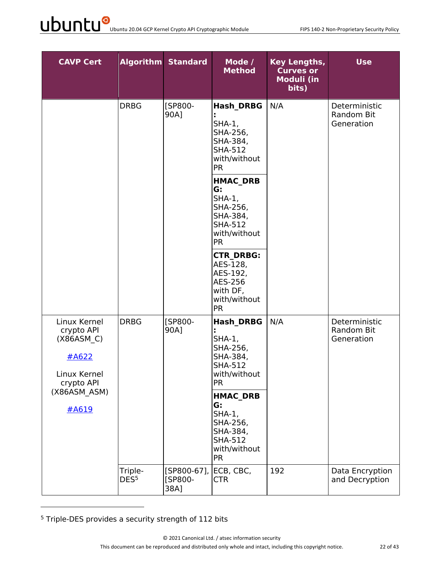| <b>CAVP Cert</b>                                                                |                             | <b>Algorithm Standard</b>         | Mode /<br><b>Method</b>                                                                                                                                                                                         | <b>Key Lengths,</b><br><b>Curves or</b><br>Moduli (in<br>bits) | <b>Use</b>                                |
|---------------------------------------------------------------------------------|-----------------------------|-----------------------------------|-----------------------------------------------------------------------------------------------------------------------------------------------------------------------------------------------------------------|----------------------------------------------------------------|-------------------------------------------|
|                                                                                 | <b>DRBG</b>                 | [SP800-<br>90A]                   | <b>Hash DRBG</b><br>$SHA-1,$<br>SHA-256,<br>SHA-384,<br><b>SHA-512</b><br>with/without<br><b>PR</b><br><b>HMAC DRB</b><br>G:<br>$SHA-1,$<br>SHA-256,<br>SHA-384,<br><b>SHA-512</b><br>with/without<br><b>PR</b> | N/A                                                            | Deterministic<br>Random Bit<br>Generation |
|                                                                                 |                             |                                   | <b>CTR DRBG:</b><br>AES-128,<br>AES-192,<br>AES-256<br>with DF,<br>with/without<br><b>PR</b>                                                                                                                    |                                                                |                                           |
| Linux Kernel<br>crypto API<br>(X86ASM C)<br>#A622<br>Linux Kernel<br>crypto API | <b>DRBG</b><br>#A619        | [SP800-<br>90A]                   | <b>Hash DRBG</b><br>$SHA-1$ ,<br>SHA-256,<br>SHA-384,<br><b>SHA-512</b><br>with/without<br><b>PR</b>                                                                                                            | N/A                                                            | Deterministic<br>Random Bit<br>Generation |
| (X86ASM ASM)                                                                    |                             |                                   | <b>HMAC DRB</b><br>G:<br>$SHA-1,$<br>SHA-256,<br>SHA-384,<br><b>SHA-512</b><br>with/without<br><b>PR</b>                                                                                                        |                                                                |                                           |
|                                                                                 | Triple-<br>DES <sup>5</sup> | $[SP800-67]$ ,<br>[SP800-<br>38A] | ECB, CBC,<br><b>CTR</b>                                                                                                                                                                                         | 192                                                            | Data Encryption<br>and Decryption         |

<sup>5</sup> Triple-DES provides a security strength of 112 bits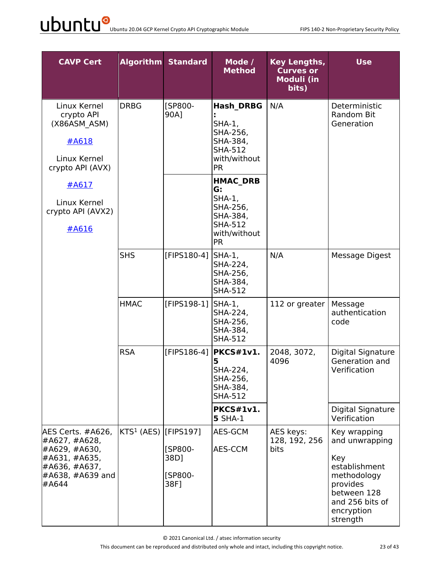# UDUNCU<sup>O</sup> Ubuntu 20.04 GCP Kernel Crypto API Cryptographic Module FIPS 140-2 Non-Proprietary Security Policy

| <b>CAVP Cert</b>                                                                                                     |                                     | <b>Algorithm Standard</b>          | Mode /<br><b>Method</b>                                                                                   | <b>Key Lengths,</b><br><b>Curves or</b><br>Moduli (in<br>bits) | <b>Use</b>                                                                                                                                    |
|----------------------------------------------------------------------------------------------------------------------|-------------------------------------|------------------------------------|-----------------------------------------------------------------------------------------------------------|----------------------------------------------------------------|-----------------------------------------------------------------------------------------------------------------------------------------------|
| Linux Kernel<br>crypto API<br>(X86ASM ASM)<br>#A618<br>Linux Kernel<br>crypto API (AVX)                              | <b>DRBG</b>                         | [SP800-<br>90A]                    | <b>Hash DRBG</b><br>$SHA-1,$<br>SHA-256,<br>SHA-384,<br><b>SHA-512</b><br>with/without<br><b>PR</b>       | N/A                                                            | Deterministic<br>Random Bit<br>Generation                                                                                                     |
| #A617<br>Linux Kernel<br>crypto API (AVX2)<br>#A616                                                                  |                                     |                                    | <b>HMAC DRB</b><br>G:<br>$SHA-1$ ,<br>SHA-256,<br>SHA-384,<br><b>SHA-512</b><br>with/without<br><b>PR</b> |                                                                |                                                                                                                                               |
|                                                                                                                      | <b>SHS</b>                          | [FIPS180-4]                        | $SHA-1$ ,<br>SHA-224,<br>SHA-256,<br>SHA-384,<br><b>SHA-512</b>                                           | N/A                                                            | <b>Message Digest</b>                                                                                                                         |
|                                                                                                                      | <b>HMAC</b>                         | [FIPS198-1]                        | $SHA-1$ ,<br>SHA-224,<br>SHA-256,<br>SHA-384,<br><b>SHA-512</b>                                           | 112 or greater                                                 | Message<br>authentication<br>code                                                                                                             |
|                                                                                                                      | <b>RSA</b>                          | [FIPS186-4]                        | PKCS#1v1.<br>5<br>SHA-224,<br>SHA-256,<br>SHA-384,<br><b>SHA-512</b>                                      | 2048, 3072,<br>4096                                            | Digital Signature<br>Generation and<br>Verification                                                                                           |
|                                                                                                                      |                                     |                                    | <b>PKCS#1v1.</b><br><b>5 SHA-1</b>                                                                        |                                                                | Digital Signature<br>Verification                                                                                                             |
| AES Certs. #A626,<br>#A627, #A628,<br>#A629, #A630,<br>#A631, #A635,<br>#A636, #A637,<br>$#A638, #A639$ and<br>#A644 | KTS <sup>1</sup> (AES) $[$ FIPS197] | [SP800-<br>38D]<br>[SP800-<br>38F] | AES-GCM<br>AES-CCM                                                                                        | AES keys:<br>128, 192, 256<br>bits                             | Key wrapping<br>and unwrapping<br>Key<br>establishment<br>methodology<br>provides<br>between 128<br>and 256 bits of<br>encryption<br>strength |

© 2021 Canonical Ltd. / atsec information security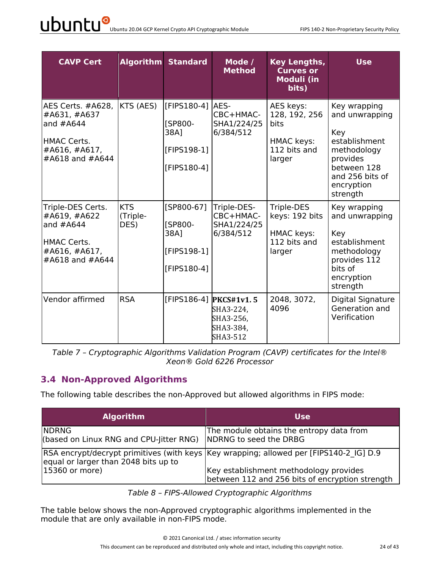# UDUNCU<sup>O</sup> Ubuntu 20.04 GCP Kernel Crypto API Cryptographic Module FIPS 140-2 Non-Proprietary Security Policy

| <b>CAVP Cert</b>                                                                                    |                                | <b>Algorithm Standard</b>                                                | Mode /<br><b>Method</b>                                                   | <b>Key Lengths,</b><br><b>Curves or</b><br><b>Moduli (in</b><br>bits)             | <b>Use</b>                                                                                                                                    |
|-----------------------------------------------------------------------------------------------------|--------------------------------|--------------------------------------------------------------------------|---------------------------------------------------------------------------|-----------------------------------------------------------------------------------|-----------------------------------------------------------------------------------------------------------------------------------------------|
| AES Certs. #A628,<br>#A631, #A637<br>and $#A644$<br>HMAC Certs.<br>#A616, #A617,<br>#A618 and #A644 | KTS (AES)                      | [FIPS180-41 AES-<br><b>ISP800-</b><br>38A]<br>[FIPS198-1]<br>[FIPS180-4] | CBC+HMAC-<br>SHA1/224/25<br>6/384/512                                     | AES keys:<br>128, 192, 256<br><b>bits</b><br>HMAC keys:<br>112 bits and<br>larger | Key wrapping<br>and unwrapping<br>Key<br>establishment<br>methodology<br>provides<br>between 128<br>and 256 bits of<br>encryption<br>strength |
| Triple-DES Certs.<br>#A619, #A622<br>and $#A644$<br>HMAC Certs.<br>#A616, #A617,<br>#A618 and #A644 | <b>KTS</b><br>(Triple-<br>DES) | $[SP800-67]$<br><b>[SP800-</b><br>38A]<br>[FIPS198-1]<br>[FIPS180-4]     | Triple-DES-<br>CBC+HMAC-<br>SHA1/224/25<br>6/384/512                      | Triple-DES<br>keys: 192 bits<br><b>HMAC keys:</b><br>112 bits and<br>larger       | Key wrapping<br>and unwrapping<br>Key<br>establishment<br>methodology<br>provides 112<br>bits of<br>encryption<br>strength                    |
| Vendor affirmed                                                                                     | <b>RSA</b>                     |                                                                          | [FIPS186-4] PKCS#1v1.5<br>SHA3-224,<br>SHA3-256,<br>SHA3-384,<br>SHA3-512 | 2048, 3072,<br>4096                                                               | Digital Signature<br>Generation and<br>Verification                                                                                           |

*Table 7 – Cryptographic Algorithms Validation Program (CAVP) certificates for the Intel® Xeon® Gold 6226 Processor*

#### **3.4 Non-Approved Algorithms**

The following table describes the non-Approved but allowed algorithms in FIPS mode:

| <b>Algorithm</b>                                        | <b>Use</b>                                                                                |
|---------------------------------------------------------|-------------------------------------------------------------------------------------------|
| <b>NDRNG</b><br>(based on Linux RNG and CPU-Jitter RNG) | The module obtains the entropy data from<br>NDRNG to seed the DRBG                        |
| equal or larger than 2048 bits up to                    | RSA encrypt/decrypt primitives (with keys  Key wrapping; allowed per [FIPS140-2 IG] D.9   |
| 15360 or more)                                          | Key establishment methodology provides<br>between 112 and 256 bits of encryption strength |

*Table 8 – FIPS-Allowed Cryptographic Algorithms*

The table below shows the non-Approved cryptographic algorithms implemented in the module that are only available in non-FIPS mode.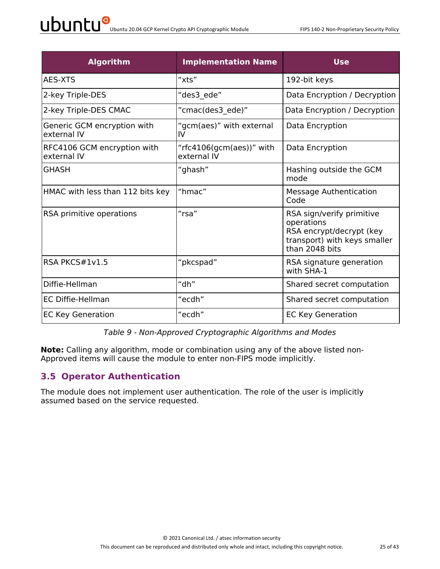| <b>Algorithm</b>                           | <b>Implementation Name</b>              | <b>Use</b>                                                                                                            |
|--------------------------------------------|-----------------------------------------|-----------------------------------------------------------------------------------------------------------------------|
| AES-XTS                                    | "xts"                                   | 192-bit keys                                                                                                          |
| 2-key Triple-DES                           | "des3 ede"                              | Data Encryption / Decryption                                                                                          |
| 2-key Triple-DES CMAC                      | "cmac(des3_ede)"                        | Data Encryption / Decryption                                                                                          |
| Generic GCM encryption with<br>external IV | "gcm(aes)" with external<br>IV          | Data Encryption                                                                                                       |
| RFC4106 GCM encryption with<br>external IV | "rfc4106(gcm(aes))" with<br>external IV | Data Encryption                                                                                                       |
| <b>GHASH</b>                               | "ghash"                                 | Hashing outside the GCM<br>mode                                                                                       |
| HMAC with less than 112 bits key           | "hmac"                                  | Message Authentication<br>Code                                                                                        |
| RSA primitive operations                   | $"$ rsa $"$                             | RSA sign/verify primitive<br>operations<br>RSA encrypt/decrypt (key<br>transport) with keys smaller<br>than 2048 bits |
| RSA PKCS#1v1.5                             | "pkcspad"                               | RSA signature generation<br>with SHA-1                                                                                |
| Diffie-Hellman                             | "dh"                                    | Shared secret computation                                                                                             |
| EC Diffie-Hellman                          | "ecdh"                                  | Shared secret computation                                                                                             |
| <b>EC Key Generation</b>                   | "ecdh"                                  | <b>EC Key Generation</b>                                                                                              |

*Table 9 - Non-Approved Cryptographic Algorithms and Modes*

**Note:** Calling any algorithm, mode or combination using any of the above listed non-Approved items will cause the module to enter non-FIPS mode implicitly.

#### **3.5 Operator Authentication**

The module does not implement user authentication. The role of the user is implicitly assumed based on the service requested.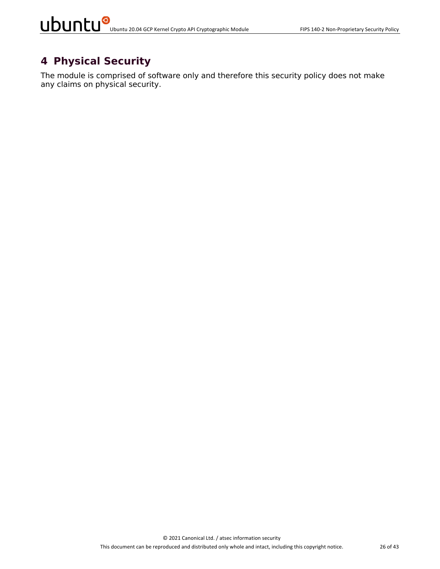## **4 Physical Security**

The module is comprised of software only and therefore this security policy does not make any claims on physical security.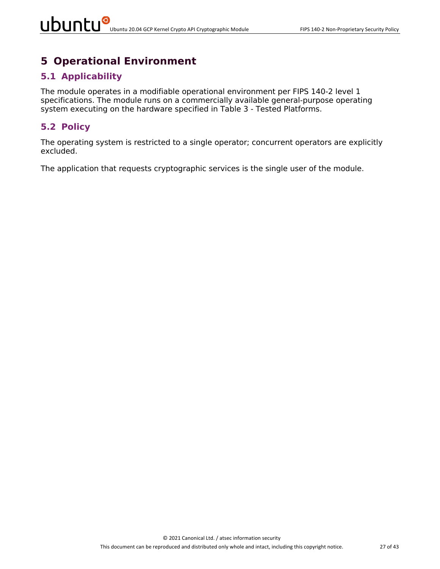## **5 Operational Environment**

#### **5.1 Applicability**

The module operates in a modifiable operational environment per FIPS 140-2 level 1 specifications. The module runs on a commercially available general-purpose operating system executing on the hardware specified in Table 3 - Tested Platforms.

#### **5.2 Policy**

The operating system is restricted to a single operator; concurrent operators are explicitly excluded.

The application that requests cryptographic services is the single user of the module.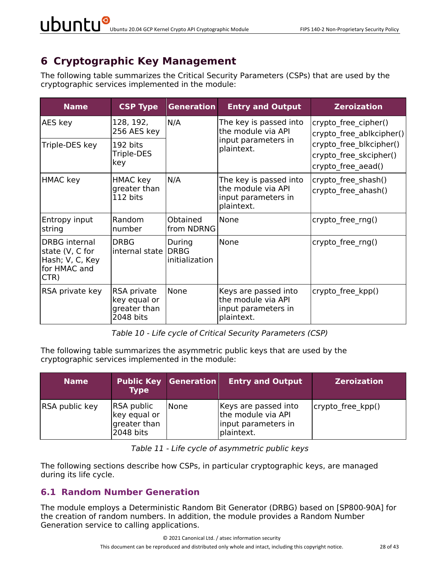# **6 Cryptographic Key Management**

The following table summarizes the Critical Security Parameters (CSPs) that are used by the cryptographic services implemented in the module:

| <b>Name</b>                                                                        | <b>CSP Type</b>                                          | <b>Generation</b>                       | <b>Entry and Output</b>                                                           | <b>Zeroization</b>                                                      |
|------------------------------------------------------------------------------------|----------------------------------------------------------|-----------------------------------------|-----------------------------------------------------------------------------------|-------------------------------------------------------------------------|
| AES key                                                                            | 128, 192,<br>256 AES key                                 | N/A                                     | The key is passed into<br>the module via API                                      | crypto free cipher()<br>crypto free ablkcipher()                        |
| Triple-DES key                                                                     | 192 bits<br>Triple-DES<br>key                            |                                         | input parameters in<br>plaintext.                                                 | crypto free blkcipher()<br>crypto free skcipher()<br>crypto free aead() |
| HMAC key                                                                           | HMAC key<br>greater than<br>112 bits                     | N/A                                     | The key is passed into<br>the module via API<br>input parameters in<br>plaintext. | crypto_free_shash()<br>crypto free ahash()                              |
| Entropy input<br>string                                                            | Random<br>number                                         | Obtained<br>from NDRNG                  | None                                                                              | crypto_free_rng()                                                       |
| <b>DRBG</b> internal<br>state (V, C for<br>Hash; V, C, Key<br>for HMAC and<br>CTR) | <b>DRBG</b><br>internal state                            | During<br><b>DRBG</b><br>initialization | None                                                                              | crypto free rng()                                                       |
| RSA private key                                                                    | RSA private<br>key equal or<br>greater than<br>2048 bits | None                                    | Keys are passed into<br>the module via API<br>input parameters in<br>plaintext.   | crypto free kpp()                                                       |

*Table 10 - Life cycle of Critical Security Parameters (CSP)*

The following table summarizes the asymmetric public keys that are used by the cryptographic services implemented in the module:

| <b>Name</b>    | <b>Type</b>                                                    | <b>Public Key Generation</b> | <b>Entry and Output</b>                                                         | <b>Zeroization</b> |
|----------------|----------------------------------------------------------------|------------------------------|---------------------------------------------------------------------------------|--------------------|
| RSA public key | <b>RSA public</b><br>key equal or<br>greater than<br>2048 bits | <b>None</b>                  | Keys are passed into<br>the module via API<br>input parameters in<br>plaintext. | crypto free kpp()  |

| Table 11 - Life cycle of asymmetric public keys |  |  |  |
|-------------------------------------------------|--|--|--|
|-------------------------------------------------|--|--|--|

The following sections describe how CSPs, in particular cryptographic keys, are managed during its life cycle.

#### **6.1 Random Number Generation**

The module employs a Deterministic Random Bit Generator (DRBG) based on [SP800-90A] for the creation of random numbers. In addition, the module provides a Random Number Generation service to calling applications.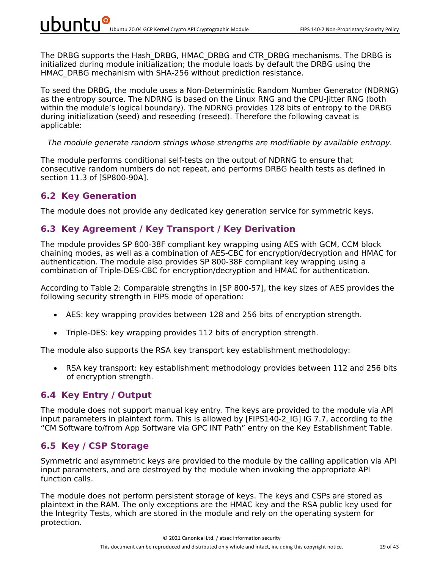The DRBG supports the Hash DRBG, HMAC DRBG and CTR DRBG mechanisms. The DRBG is initialized during module initialization; the module loads by default the DRBG using the HMAC\_DRBG mechanism with SHA-256 without prediction resistance.

To seed the DRBG, the module uses a Non-Deterministic Random Number Generator (NDRNG) as the entropy source. The NDRNG is based on the Linux RNG and the CPU-Jitter RNG (both within the module's logical boundary). The NDRNG provides 128 bits of entropy to the DRBG during initialization (seed) and reseeding (reseed). Therefore the following caveat is applicable:

#### *The module generate random strings whose strengths are modifiable by available entropy.*

The module performs conditional self-tests on the output of NDRNG to ensure that consecutive random numbers do not repeat, and performs DRBG health tests as defined in section 11.3 of [SP800-90A].

#### **6.2 Key Generation**

The module does not provide any dedicated key generation service for symmetric keys.

#### **6.3 Key Agreement / Key Transport / Key Derivation**

The module provides SP 800-38F compliant key wrapping using AES with GCM, CCM block chaining modes, as well as a combination of AES-CBC for encryption/decryption and HMAC for authentication. The module also provides SP 800-38F compliant key wrapping using a combination of Triple-DES-CBC for encryption/decryption and HMAC for authentication.

According to Table 2: Comparable strengths in [SP 800-57], the key sizes of AES provides the following security strength in FIPS mode of operation:

- AES: key wrapping provides between 128 and 256 bits of encryption strength.
- Triple-DES: key wrapping provides 112 bits of encryption strength.

The module also supports the RSA key transport key establishment methodology:

• RSA key transport: key establishment methodology provides between 112 and 256 bits of encryption strength.

#### **6.4 Key Entry / Output**

The module does not support manual key entry. The keys are provided to the module via API input parameters in plaintext form. This is allowed by [FIPS140-2 IG] IG 7.7, according to the "CM Software to/from App Software via GPC INT Path" entry on the Key Establishment Table.

#### **6.5 Key / CSP Storage**

Symmetric and asymmetric keys are provided to the module by the calling application via API input parameters, and are destroyed by the module when invoking the appropriate API function calls.

The module does not perform persistent storage of keys. The keys and CSPs are stored as plaintext in the RAM. The only exceptions are the HMAC key and the RSA public key used for the Integrity Tests, which are stored in the module and rely on the operating system for protection.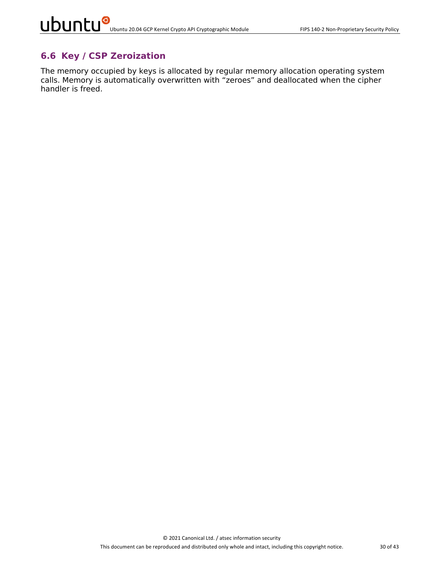#### **6.6 Key / CSP Zeroization**

The memory occupied by keys is allocated by regular memory allocation operating system calls. Memory is automatically overwritten with "zeroes" and deallocated when the cipher handler is freed.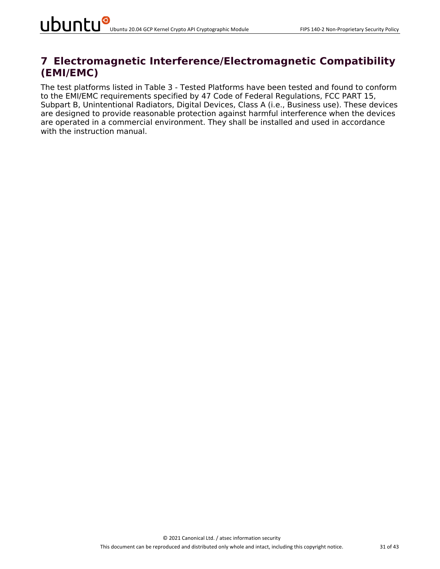### **7 Electromagnetic Interference/Electromagnetic Compatibility (EMI/EMC)**

The test platforms listed in Table 3 - Tested Platforms have been tested and found to conform to the EMI/EMC requirements specified by 47 Code of Federal Regulations, FCC PART 15, Subpart B, Unintentional Radiators, Digital Devices, Class A (i.e., Business use). These devices are designed to provide reasonable protection against harmful interference when the devices are operated in a commercial environment. They shall be installed and used in accordance with the instruction manual.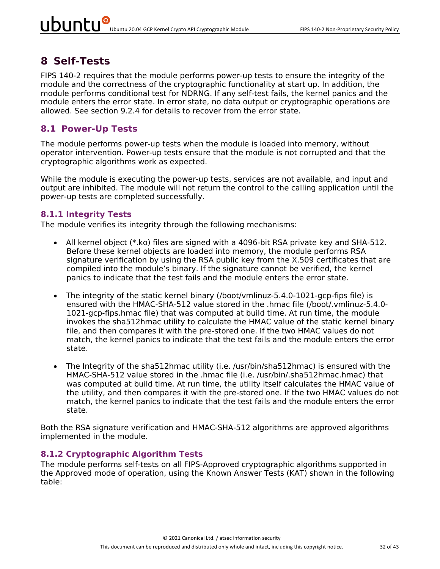### **8 Self-Tests**

FIPS 140-2 requires that the module performs power-up tests to ensure the integrity of the module and the correctness of the cryptographic functionality at start up. In addition, the module performs conditional test for NDRNG. If any self-test fails, the kernel panics and the module enters the error state. In error state, no data output or cryptographic operations are allowed. See section 9.2.4 for details to recover from the error state.

#### **8.1 Power-Up Tests**

The module performs power-up tests when the module is loaded into memory, without operator intervention. Power-up tests ensure that the module is not corrupted and that the cryptographic algorithms work as expected.

While the module is executing the power-up tests, services are not available, and input and output are inhibited. The module will not return the control to the calling application until the power-up tests are completed successfully.

#### **8.1.1 Integrity Tests**

The module verifies its integrity through the following mechanisms:

- All kernel object (\*.ko) files are signed with a 4096-bit RSA private key and SHA-512. Before these kernel objects are loaded into memory, the module performs RSA signature verification by using the RSA public key from the X.509 certificates that are compiled into the module's binary. If the signature cannot be verified, the kernel panics to indicate that the test fails and the module enters the error state.
- The integrity of the static kernel binary (/boot/vmlinuz-5.4.0-1021-gcp-fips file) is ensured with the HMAC-SHA-512 value stored in the .hmac file (/boot/.vmlinuz-5.4.0- 1021-gcp-fips.hmac file) that was computed at build time. At run time, the module invokes the sha512hmac utility to calculate the HMAC value of the static kernel binary file, and then compares it with the pre-stored one. If the two HMAC values do not match, the kernel panics to indicate that the test fails and the module enters the error state.
- The Integrity of the sha512hmac utility (i.e. /usr/bin/sha512hmac) is ensured with the HMAC-SHA-512 value stored in the .hmac file (i.e. /usr/bin/.sha512hmac.hmac) that was computed at build time. At run time, the utility itself calculates the HMAC value of the utility, and then compares it with the pre-stored one. If the two HMAC values do not match, the kernel panics to indicate that the test fails and the module enters the error state.

Both the RSA signature verification and HMAC-SHA-512 algorithms are approved algorithms implemented in the module.

#### **8.1.2 Cryptographic Algorithm Tests**

The module performs self-tests on all FIPS-Approved cryptographic algorithms supported in the Approved mode of operation, using the Known Answer Tests (KAT) shown in the following table: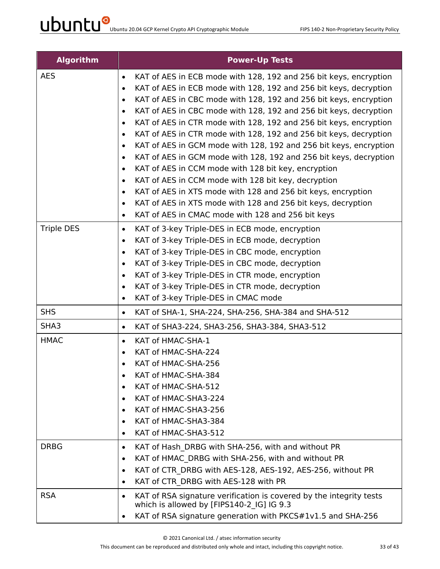| <b>Algorithm</b>  | <b>Power-Up Tests</b>                                                                                                         |
|-------------------|-------------------------------------------------------------------------------------------------------------------------------|
| <b>AES</b>        | KAT of AES in ECB mode with 128, 192 and 256 bit keys, encryption<br>$\bullet$                                                |
|                   | KAT of AES in ECB mode with 128, 192 and 256 bit keys, decryption<br>$\bullet$                                                |
|                   | KAT of AES in CBC mode with 128, 192 and 256 bit keys, encryption<br>$\bullet$                                                |
|                   | KAT of AES in CBC mode with 128, 192 and 256 bit keys, decryption<br>$\bullet$                                                |
|                   | KAT of AES in CTR mode with 128, 192 and 256 bit keys, encryption<br>$\bullet$                                                |
|                   | KAT of AES in CTR mode with 128, 192 and 256 bit keys, decryption<br>$\bullet$                                                |
|                   | KAT of AES in GCM mode with 128, 192 and 256 bit keys, encryption<br>$\bullet$                                                |
|                   | KAT of AES in GCM mode with 128, 192 and 256 bit keys, decryption<br>$\bullet$                                                |
|                   | KAT of AES in CCM mode with 128 bit key, encryption<br>$\bullet$                                                              |
|                   | KAT of AES in CCM mode with 128 bit key, decryption<br>$\bullet$                                                              |
|                   | KAT of AES in XTS mode with 128 and 256 bit keys, encryption<br>$\bullet$                                                     |
|                   | KAT of AES in XTS mode with 128 and 256 bit keys, decryption<br>$\bullet$                                                     |
|                   | KAT of AES in CMAC mode with 128 and 256 bit keys<br>$\bullet$                                                                |
| <b>Triple DES</b> | KAT of 3-key Triple-DES in ECB mode, encryption<br>$\bullet$                                                                  |
|                   | KAT of 3-key Triple-DES in ECB mode, decryption<br>$\bullet$                                                                  |
|                   | KAT of 3-key Triple-DES in CBC mode, encryption<br>$\bullet$                                                                  |
|                   | KAT of 3-key Triple-DES in CBC mode, decryption<br>$\bullet$                                                                  |
|                   | KAT of 3-key Triple-DES in CTR mode, encryption<br>$\bullet$                                                                  |
|                   | KAT of 3-key Triple-DES in CTR mode, decryption<br>$\bullet$<br>KAT of 3-key Triple-DES in CMAC mode<br>$\bullet$             |
| <b>SHS</b>        | KAT of SHA-1, SHA-224, SHA-256, SHA-384 and SHA-512<br>$\bullet$                                                              |
| SHA3              | KAT of SHA3-224, SHA3-256, SHA3-384, SHA3-512<br>$\bullet$                                                                    |
| <b>HMAC</b>       | KAT of HMAC-SHA-1<br>$\bullet$                                                                                                |
|                   | KAT of HMAC-SHA-224<br>$\bullet$                                                                                              |
|                   | KAT of HMAC-SHA-256                                                                                                           |
|                   | KAT of HMAC-SHA-384<br>٠                                                                                                      |
|                   | KAT of HMAC-SHA-512                                                                                                           |
|                   | KAT of HMAC-SHA3-224<br>$\bullet$                                                                                             |
|                   | KAT of HMAC-SHA3-256<br>$\bullet$                                                                                             |
|                   | KAT of HMAC-SHA3-384<br>٠                                                                                                     |
|                   | KAT of HMAC-SHA3-512<br>$\bullet$                                                                                             |
| <b>DRBG</b>       | KAT of Hash DRBG with SHA-256, with and without PR<br>$\bullet$                                                               |
|                   | KAT of HMAC DRBG with SHA-256, with and without PR<br>$\bullet$                                                               |
|                   | KAT of CTR DRBG with AES-128, AES-192, AES-256, without PR<br>$\bullet$                                                       |
|                   | KAT of CTR DRBG with AES-128 with PR<br>$\bullet$                                                                             |
| <b>RSA</b>        | KAT of RSA signature verification is covered by the integrity tests<br>$\bullet$<br>which is allowed by [FIPS140-2 IG] IG 9.3 |
|                   | KAT of RSA signature generation with PKCS#1v1.5 and SHA-256                                                                   |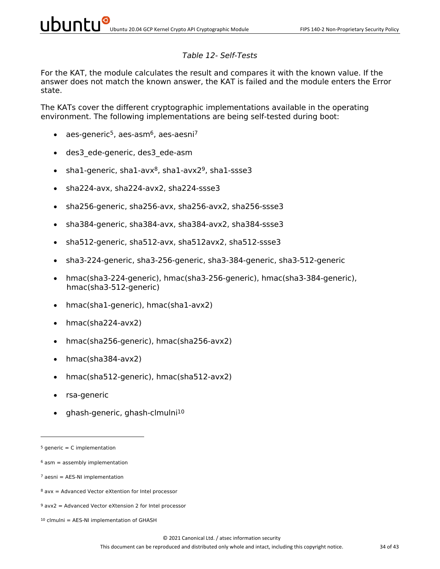#### *Table 12- Self-Tests*

For the KAT, the module calculates the result and compares it with the known value. If the answer does not match the known answer, the KAT is failed and the module enters the Error state.

The KATs cover the different cryptographic implementations available in the operating environment. The following implementations are being self-tested during boot:

- aes-generic<sup>5</sup>, aes-asm<sup>6</sup>, aes-aesni<sup>7</sup>
- des3\_ede-generic, des3\_ede-asm
- sha1-generic, sha1-avx $8$ , sha1-avx $2^9$ , sha1-ssse3
- sha224-avx, sha224-avx2, sha224-ssse3
- sha256-generic, sha256-avx, sha256-avx2, sha256-ssse3
- sha384-generic, sha384-avx, sha384-avx2, sha384-ssse3
- sha512-generic, sha512-avx, sha512avx2, sha512-ssse3
- sha3-224-generic, sha3-256-generic, sha3-384-generic, sha3-512-generic
- hmac(sha3-224-generic), hmac(sha3-256-generic), hmac(sha3-384-generic), hmac(sha3-512-generic)
- hmac(sha1-generic), hmac(sha1-avx2)
- hmac(sha224-avx2)
- hmac(sha256-generic), hmac(sha256-avx2)
- hmac(sha384-avx2)
- hmac(sha512-generic), hmac(sha512-avx2)
- rsa-generic
- ghash-generic, ghash-clmulni10

 $5$  generic = C implementation

 $6$  asm = assembly implementation

 $7$  aesni = AES-NI implementation

 $8$  avx = Advanced Vector eXtention for Intel processor

 $9$  avx2 = Advanced Vector eXtension 2 for Intel processor

 $10$  clmulni = AES-NI implementation of GHASH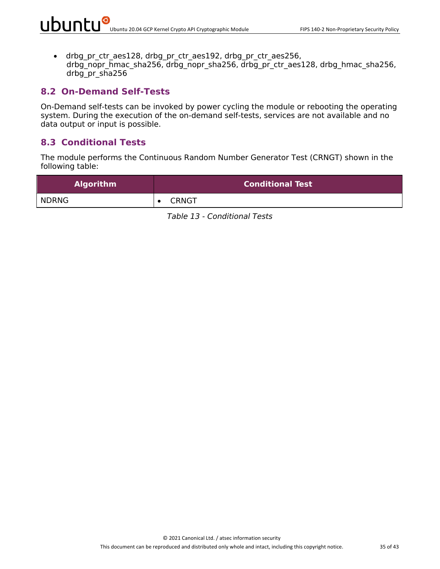• drbg pr\_ctr\_aes128, drbg\_pr\_ctr\_aes192, drbg\_pr\_ctr\_aes256, drbg\_nopr\_hmac\_sha256, drbg\_nopr\_sha256, drbg\_pr\_ctr\_aes128, drbg\_hmac\_sha256, drbg\_pr\_sha256

#### **8.2 On-Demand Self-Tests**

On-Demand self-tests can be invoked by power cycling the module or rebooting the operating system. During the execution of the on-demand self-tests, services are not available and no data output or input is possible.

#### **8.3 Conditional Tests**

The module performs the Continuous Random Number Generator Test (CRNGT) shown in the following table:

| <b>Algorithm</b> | <b>Conditional Test</b> |
|------------------|-------------------------|
| <b>NDRNG</b>     | <b>CRNGT</b>            |

*Table 13 - Conditional Tests*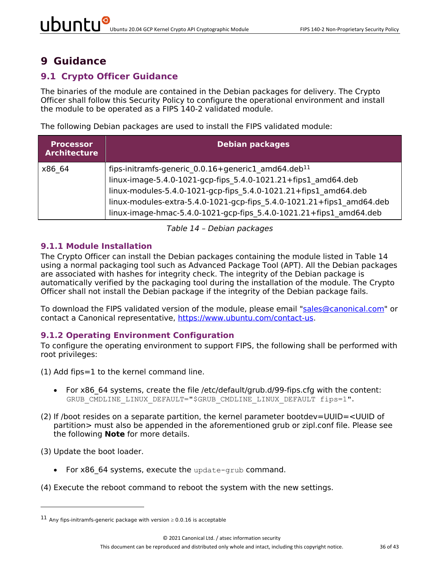### **9 Guidance**

#### **9.1 Crypto Officer Guidance**

The binaries of the module are contained in the Debian packages for delivery. The Crypto Officer shall follow this Security Policy to configure the operational environment and install the module to be operated as a FIPS 140-2 validated module.

The following Debian packages are used to install the FIPS validated module:

| <b>Processor</b><br><b>Architecture</b> | <b>Debian packages</b>                                                                                                                                                                                                                                                                                                                            |
|-----------------------------------------|---------------------------------------------------------------------------------------------------------------------------------------------------------------------------------------------------------------------------------------------------------------------------------------------------------------------------------------------------|
| x86 64                                  | fips-initramfs-generic 0.0.16+generic1 amd64.deb <sup>11</sup><br>linux-image-5.4.0-1021-gcp-fips_5.4.0-1021.21+fips1 amd64.deb<br>linux-modules-5.4.0-1021-gcp-fips_5.4.0-1021.21+fips1 amd64.deb<br>linux-modules-extra-5.4.0-1021-gcp-fips 5.4.0-1021.21+fips1 amd64.deb<br>linux-image-hmac-5.4.0-1021-gcp-fips 5.4.0-1021.21+fips1 amd64.deb |

*Table 14 – Debian packages*

#### **9.1.1 Module Installation**

The Crypto Officer can install the Debian packages containing the module listed in Table 14 using a normal packaging tool such as Advanced Package Tool (APT). All the Debian packages are associated with hashes for integrity check. The integrity of the Debian package is automatically verified by the packaging tool during the installation of the module. The Crypto Officer shall not install the Debian package if the integrity of the Debian package fails.

To download the FIPS validated version of the module, please email "sales@canonical.com" or contact a Canonical representative, https://www.ubuntu.com/contact-us.

#### **9.1.2 Operating Environment Configuration**

To configure the operating environment to support FIPS, the following shall be performed with root privileges:

- (1) Add fips=1 to the kernel command line.
	- For x86 64 systems, create the file /etc/default/grub.d/99-fips.cfg with the content: GRUB CMDLINE LINUX DEFAULT="\$GRUB CMDLINE LINUX DEFAULT fips=1".
- (2) If /boot resides on a separate partition, the kernel parameter bootdev=UUID=<UUID of partition> must also be appended in the aforementioned grub or zipl.conf file. Please see the following **Note** for more details.

(3) Update the boot loader.

- For x86 64 systems, execute the update-grub command.
- (4) Execute the reboot command to reboot the system with the new settings.

<sup>&</sup>lt;sup>11</sup> Any fips-initramfs-generic package with version  $\geq 0.0.16$  is acceptable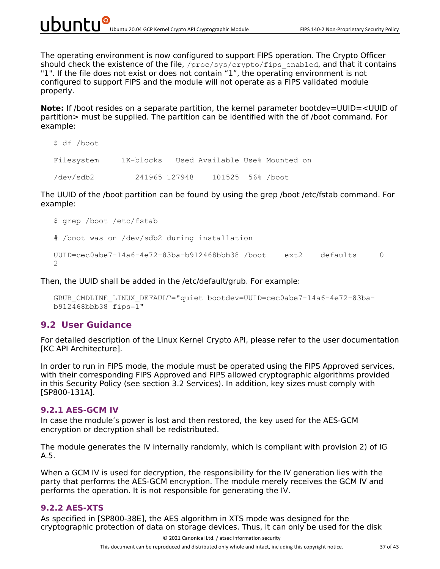The operating environment is now configured to support FIPS operation. The Crypto Officer should check the existence of the file,  $/$ proc $/$ sys $/$ crypto $/$ fips\_enabled, and that it contains "1". If the file does not exist or does not contain "1", the operating environment is not configured to support FIPS and the module will not operate as a FIPS validated module properly.

**Note:** If /boot resides on a separate partition, the kernel parameter bootdev=UUID=<UUID of partition> must be supplied. The partition can be identified with the df /boot command. For example:

```
$ df /boot
Filesystem 1K-blocks Used Available Use% Mounted on
/dev/sdb2 241965 127948 101525 56% /boot
```
The UUID of the /boot partition can be found by using the grep /boot /etc/fstab command. For example:

```
$ grep /boot /etc/fstab
# /boot was on /dev/sdb2 during installation
UUID = cec0abe7-14a6-4e72-83ba-b912468bbb38 /boot ext2 defaults 0
\mathcal{P}
```
Then, the UUID shall be added in the /etc/default/grub. For example:

```
GRUB_CMDLINE_LINUX_DEFAULT="quiet bootdev=UUID=cec0abe7-14a6-4e72-83ba-
b912468bbb38 fips=1"
```
#### **9.2 User Guidance**

For detailed description of the Linux Kernel Crypto API, please refer to the user documentation [KC API Architecture].

In order to run in FIPS mode, the module must be operated using the FIPS Approved services, with their corresponding FIPS Approved and FIPS allowed cryptographic algorithms provided in this Security Policy (see section 3.2 Services). In addition, key sizes must comply with [SP800-131A].

#### **9.2.1 AES-GCM IV**

In case the module's power is lost and then restored, the key used for the AES-GCM encryption or decryption shall be redistributed.

The module generates the IV internally randomly, which is compliant with provision 2) of IG A.5.

When a GCM IV is used for decryption, the responsibility for the IV generation lies with the party that performs the AES-GCM encryption. The module merely receives the GCM IV and performs the operation. It is not responsible for generating the IV.

#### **9.2.2 AES-XTS**

As specified in [SP800-38E], the AES algorithm in XTS mode was designed for the cryptographic protection of data on storage devices. Thus, it can only be used for the disk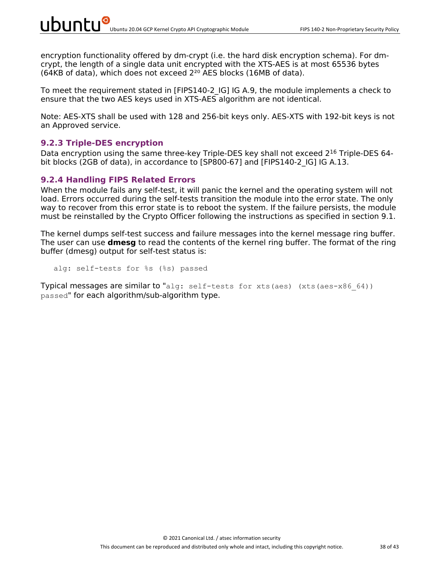encryption functionality offered by dm-crypt (i.e. the hard disk encryption schema). For dmcrypt, the length of a single data unit encrypted with the XTS-AES is at most 65536 bytes (64KB of data), which does not exceed  $2^{20}$  AES blocks (16MB of data).

To meet the requirement stated in [FIPS140-2\_IG] IG A.9, the module implements a check to ensure that the two AES keys used in XTS-AES algorithm are not identical.

Note: AES-XTS shall be used with 128 and 256-bit keys only. AES-XTS with 192-bit keys is not an Approved service.

#### **9.2.3 Triple-DES encryption**

Data encryption using the same three-key Triple-DES key shall not exceed 2<sup>16</sup> Triple-DES 64bit blocks (2GB of data), in accordance to [SP800-67] and [FIPS140-2 IG] IG A.13.

#### **9.2.4 Handling FIPS Related Errors**

When the module fails any self-test, it will panic the kernel and the operating system will not load. Errors occurred during the self-tests transition the module into the error state. The only way to recover from this error state is to reboot the system. If the failure persists, the module must be reinstalled by the Crypto Officer following the instructions as specified in section 9.1.

The kernel dumps self-test success and failure messages into the kernel message ring buffer. The user can use **dmesg** to read the contents of the kernel ring buffer. The format of the ring buffer (dmesg) output for self-test status is:

alg: self-tests for %s (%s) passed

Typical messages are similar to "alg: self-tests for xts(aes) (xts(aes-x86 64)) passed" for each algorithm/sub-algorithm type.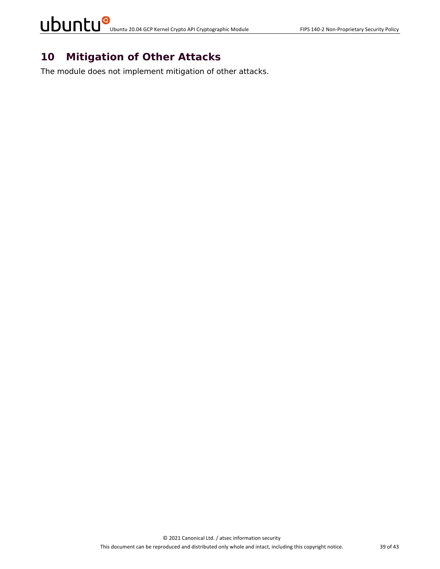# UDUNCU<sup>O</sup> Ubuntu 20.04 GCP Kernel Crypto API Cryptographic Module FIPS 140-2 Non-Proprietary Security Policy

### **10 Mitigation of Other Attacks**

The module does not implement mitigation of other attacks.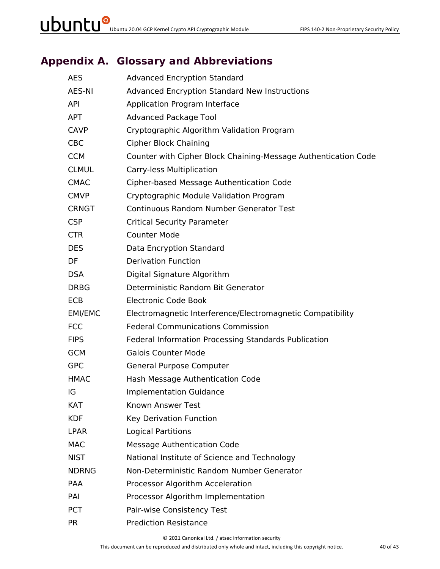## **Appendix A. Glossary and Abbreviations**

| <b>AES</b>   | <b>Advanced Encryption Standard</b>                            |
|--------------|----------------------------------------------------------------|
| AES-NI       | <b>Advanced Encryption Standard New Instructions</b>           |
| <b>API</b>   | Application Program Interface                                  |
| <b>APT</b>   | <b>Advanced Package Tool</b>                                   |
| <b>CAVP</b>  | Cryptographic Algorithm Validation Program                     |
| <b>CBC</b>   | <b>Cipher Block Chaining</b>                                   |
| <b>CCM</b>   | Counter with Cipher Block Chaining-Message Authentication Code |
| <b>CLMUL</b> | Carry-less Multiplication                                      |
| <b>CMAC</b>  | Cipher-based Message Authentication Code                       |
| <b>CMVP</b>  | Cryptographic Module Validation Program                        |
| <b>CRNGT</b> | <b>Continuous Random Number Generator Test</b>                 |
| <b>CSP</b>   | <b>Critical Security Parameter</b>                             |
| <b>CTR</b>   | <b>Counter Mode</b>                                            |
| <b>DES</b>   | Data Encryption Standard                                       |
| DF           | <b>Derivation Function</b>                                     |
| <b>DSA</b>   | Digital Signature Algorithm                                    |
| <b>DRBG</b>  | Deterministic Random Bit Generator                             |
| ECB          | <b>Electronic Code Book</b>                                    |
| EMI/EMC      | Electromagnetic Interference/Electromagnetic Compatibility     |
| <b>FCC</b>   | <b>Federal Communications Commission</b>                       |
| <b>FIPS</b>  | Federal Information Processing Standards Publication           |
| <b>GCM</b>   | <b>Galois Counter Mode</b>                                     |
| <b>GPC</b>   | General Purpose Computer                                       |
| <b>HMAC</b>  | Hash Message Authentication Code                               |
| IG           | <b>Implementation Guidance</b>                                 |
| KAT          | Known Answer Test                                              |
| <b>KDF</b>   | Key Derivation Function                                        |
| <b>LPAR</b>  | <b>Logical Partitions</b>                                      |
| <b>MAC</b>   | <b>Message Authentication Code</b>                             |
| <b>NIST</b>  | National Institute of Science and Technology                   |
| <b>NDRNG</b> | Non-Deterministic Random Number Generator                      |
| PAA          | Processor Algorithm Acceleration                               |
| PAI          | Processor Algorithm Implementation                             |
| <b>PCT</b>   | Pair-wise Consistency Test                                     |
| <b>PR</b>    | <b>Prediction Resistance</b>                                   |

© 2021 Canonical Ltd. / atsec information security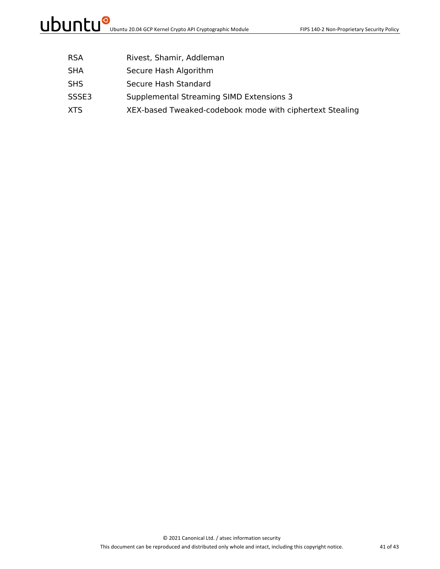- RSA Rivest, Shamir, Addleman
- SHA Secure Hash Algorithm
- SHS Secure Hash Standard
- SSSE3 Supplemental Streaming SIMD Extensions 3
- XTS XEX-based Tweaked-codebook mode with ciphertext Stealing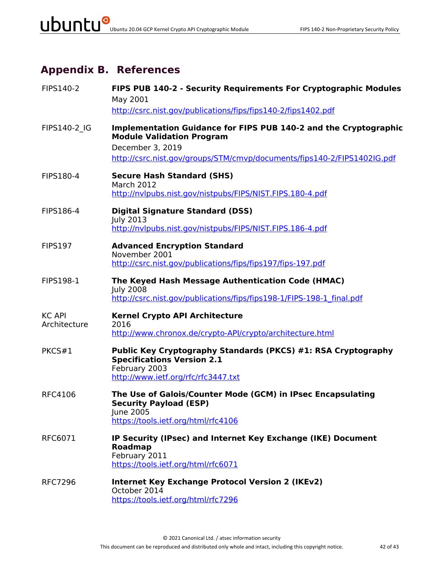## **Appendix B. References**

| FIPS140-2                     | FIPS PUB 140-2 - Security Requirements For Cryptographic Modules<br>May 2001<br>http://csrc.nist.gov/publications/fips/fips140-2/fips1402.pdf                                                       |
|-------------------------------|-----------------------------------------------------------------------------------------------------------------------------------------------------------------------------------------------------|
| FIPS140-2 IG                  | Implementation Guidance for FIPS PUB 140-2 and the Cryptographic<br><b>Module Validation Program</b><br>December 3, 2019<br>http://csrc.nist.gov/groups/STM/cmvp/documents/fips140-2/FIPS1402IG.pdf |
| FIPS180-4                     | <b>Secure Hash Standard (SHS)</b><br><b>March 2012</b><br>http://nvlpubs.nist.gov/nistpubs/FIPS/NIST.FIPS.180-4.pdf                                                                                 |
| FIPS186-4                     | <b>Digital Signature Standard (DSS)</b><br><b>July 2013</b><br>http://nvlpubs.nist.gov/nistpubs/FIPS/NIST.FIPS.186-4.pdf                                                                            |
| <b>FIPS197</b>                | <b>Advanced Encryption Standard</b><br>November 2001<br>http://csrc.nist.gov/publications/fips/fips197/fips-197.pdf                                                                                 |
| <b>FIPS198-1</b>              | The Keyed Hash Message Authentication Code (HMAC)<br><b>July 2008</b><br>http://csrc.nist.gov/publications/fips/fips198-1/FIPS-198-1 final.pdf                                                      |
| <b>KC API</b><br>Architecture | <b>Kernel Crypto API Architecture</b><br>2016<br>http://www.chronox.de/crypto-API/crypto/architecture.html                                                                                          |
| PKCS#1                        | Public Key Cryptography Standards (PKCS) #1: RSA Cryptography<br><b>Specifications Version 2.1</b><br>February 2003<br>http://www.ietf.org/rfc/rfc3447.txt                                          |
| <b>RFC4106</b>                | The Use of Galois/Counter Mode (GCM) in IPsec Encapsulating<br><b>Security Payload (ESP)</b><br>June 2005<br>https://tools.ietf.org/html/rfc4106                                                    |
| RFC6071                       | IP Security (IPsec) and Internet Key Exchange (IKE) Document<br><b>Roadmap</b><br>February 2011<br>https://tools.ietf.org/html/rfc6071                                                              |
| <b>RFC7296</b>                | <b>Internet Key Exchange Protocol Version 2 (IKEv2)</b><br>October 2014<br>https://tools.ietf.org/html/rfc7296                                                                                      |